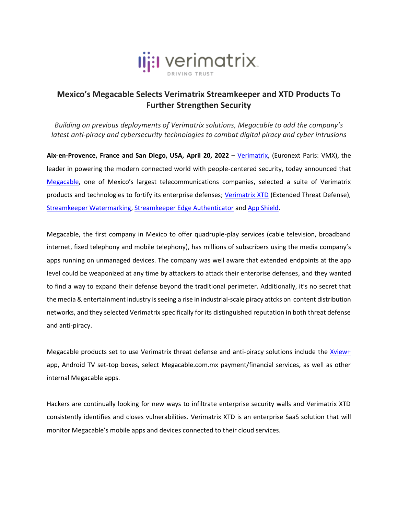

## **Mexico's Megacable Selects Verimatrix Streamkeeper and XTD Products To Further Strengthen Security**

*Building on previous deployments of Verimatrix solutions, Megacable to add the company's latest anti-piracy and cybersecurity technologies to combat digital piracy and cyber intrusions*

**Aix-en-Provence, France and San Diego, USA, April 20, 2022** – [Verimatrix,](http://www.verimatrix.com/) (Euronext Paris: VMX), the leader in powering the modern connected world with people-centered security, today announced that [Megacable](http://www.megacable.com.mx/), one of Mexico's largest telecommunications companies, selected a suite of Verimatrix products and technologies to fortify its enterprise defenses; [Verimatrix XTD](https://www.verimatrix.com/products/extended-threat-defense/) (Extended Threat Defense), [Streamkeeper Watermarking,](https://www.verimatrix.com/products/watermarking/) [Streamkeeper Edge Authenticator](https://www.verimatrix.com/products/streamkeeper/) and [App Shield.](https://www.verimatrix.com/products/app-shield/)

Megacable, the first company in Mexico to offer quadruple-play services (cable television, broadband internet, fixed telephony and mobile telephony), has millions of subscribers using the media company's apps running on unmanaged devices. The company was well aware that extended endpoints at the app level could be weaponized at any time by attackers to attack their enterprise defenses, and they wanted to find a way to expand their defense beyond the traditional perimeter. Additionally, it's no secret that the media & entertainment industry is seeing a rise in industrial-scale piracy attcks on content distribution networks, and they selected Verimatrix specifically for its distinguished reputation in both threat defense and anti-piracy.

Megacable products set to use Verimatrix threat defense and anti-piracy solutions include the [Xview+](https://megacable.com.mx/xviewplus) app, Android TV set-top boxes, select Megacable.com.mx payment/financial services, as well as other internal Megacable apps.

Hackers are continually looking for new ways to infiltrate enterprise security walls and Verimatrix XTD consistently identifies and closes vulnerabilities. Verimatrix XTD is an enterprise SaaS solution that will monitor Megacable's mobile apps and devices connected to their cloud services.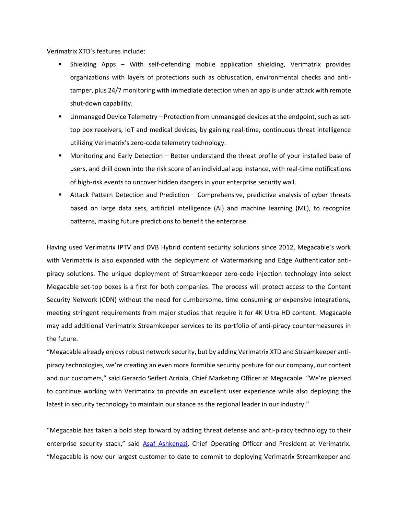Verimatrix XTD's features include:

- Shielding Apps With self-defending mobile application shielding, Verimatrix provides organizations with layers of protections such as obfuscation, environmental checks and antitamper, plus 24/7 monitoring with immediate detection when an app is under attack with remote shut-down capability.
- **■** Unmanaged Device Telemetry Protection from unmanaged devices at the endpoint, such as settop box receivers, IoT and medical devices, by gaining real-time, continuous threat intelligence utilizing Verimatrix's zero-code telemetry technology.
- Monitoring and Early Detection Better understand the threat profile of your installed base of users, and drill down into the risk score of an individual app instance, with real-time notifications of high-risk events to uncover hidden dangers in your enterprise security wall.
- **EXECT** Attack Pattern Detection and Prediction Comprehensive, predictive analysis of cyber threats based on large data sets, artificial intelligence (AI) and machine learning (ML), to recognize patterns, making future predictions to benefit the enterprise.

Having used Verimatrix IPTV and DVB Hybrid content security solutions since 2012, Megacable's work with Verimatrix is also expanded with the deployment of Watermarking and Edge Authenticator antipiracy solutions. The unique deployment of Streamkeeper zero-code injection technology into select Megacable set-top boxes is a first for both companies. The process will protect access to the Content Security Network (CDN) without the need for cumbersome, time consuming or expensive integrations, meeting stringent requirements from major studios that require it for 4K Ultra HD content. Megacable may add additional Verimatrix Streamkeeper services to its portfolio of anti-piracy countermeasures in the future.

"Megacable already enjoysrobust network security, but by adding Verimatrix XTD and Streamkeeper antipiracy technologies, we're creating an even more formible security posture for our company, our content and our customers," said Gerardo Seifert Arriola, Chief Marketing Officer at Megacable. "We're pleased to continue working with Verimatrix to provide an excellent user experience while also deploying the latest in security technology to maintain our stance as the regional leader in our industry."

"Megacable has taken a bold step forward by adding threat defense and anti-piracy technology to their enterprise security stack," said [Asaf Ashkenazi,](https://www.linkedin.com/in/asafashkenazi/) Chief Operating Officer and President at Verimatrix. "Megacable is now our largest customer to date to commit to deploying Verimatrix Streamkeeper and